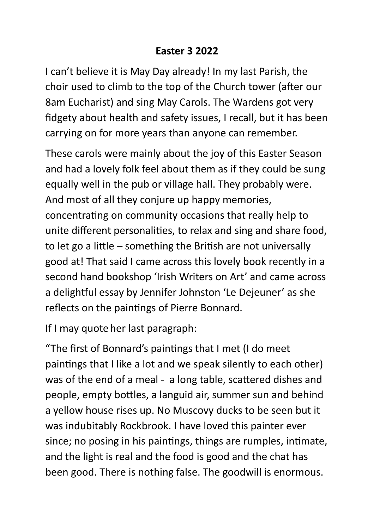## **Easter 3 2022**

I can't believe it is May Day already! In my last Parish, the choir used to climb to the top of the Church tower (after our 8am Eucharist) and sing May Carols. The Wardens got very fidgety about health and safety issues, I recall, but it has been carrying on for more years than anyone can remember.

These carols were mainly about the joy of this Easter Season and had a lovely folk feel about them as if they could be sung equally well in the pub or village hall. They probably were. And most of all they conjure up happy memories, concentrating on community occasions that really help to unite different personalities, to relax and sing and share food, to let go a little – something the British are not universally good at! That said I came across this lovely book recently in a second hand bookshop 'Irish Writers on Art' and came across a delightful essay by Jennifer Johnston 'Le Dejeuner' as she reflects on the paintings of Pierre Bonnard.

If I may quote her last paragraph:

"The first of Bonnard's paintings that I met (I do meet paintings that I like a lot and we speak silently to each other) was of the end of a meal - a long table, scattered dishes and people, empty bottles, a languid air, summer sun and behind a yellow house rises up. No Muscovy ducks to be seen but it was indubitably Rockbrook. I have loved this painter ever since; no posing in his paintings, things are rumples, intimate, and the light is real and the food is good and the chat has been good. There is nothing false. The goodwill is enormous.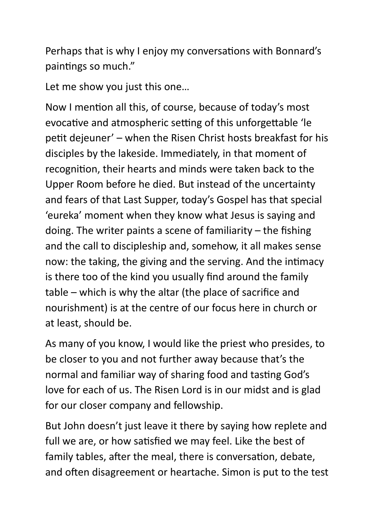Perhaps that is why I enjoy my conversations with Bonnard's paintings so much."

Let me show you just this one…

Now I mention all this, of course, because of today's most evocative and atmospheric setting of this unforgettable 'le petit dejeuner' – when the Risen Christ hosts breakfast for his disciples by the lakeside. Immediately, in that moment of recognition, their hearts and minds were taken back to the Upper Room before he died. But instead of the uncertainty and fears of that Last Supper, today's Gospel has that special 'eureka' moment when they know what Jesus is saying and doing. The writer paints a scene of familiarity – the fishing and the call to discipleship and, somehow, it all makes sense now: the taking, the giving and the serving. And the intimacy is there too of the kind you usually find around the family table – which is why the altar (the place of sacrifice and nourishment) is at the centre of our focus here in church or at least, should be.

As many of you know, I would like the priest who presides, to be closer to you and not further away because that's the normal and familiar way of sharing food and tasting God's love for each of us. The Risen Lord is in our midst and is glad for our closer company and fellowship.

But John doesn't just leave it there by saying how replete and full we are, or how satisfied we may feel. Like the best of family tables, after the meal, there is conversation, debate, and often disagreement or heartache. Simon is put to the test